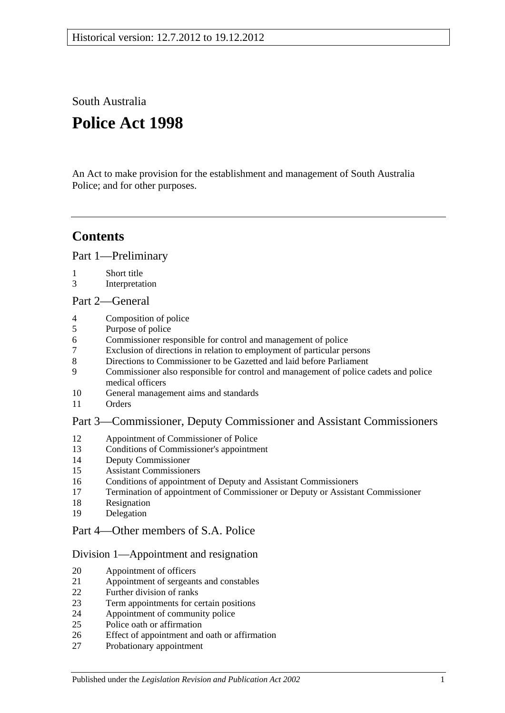South Australia

# **Police Act 1998**

An Act to make provision for the establishment and management of South Australia Police; and for other purposes.

## **Contents**

[Part 1—Preliminary](#page-2-0)

- [Short title](#page-2-1)
- [Interpretation](#page-2-2)

## [Part 2—General](#page-3-0)

- [Composition of police](#page-3-1)
- [Purpose of police](#page-4-0)
- [Commissioner responsible for control and management of police](#page-4-1)
- [Exclusion of directions in relation to employment of particular persons](#page-4-2)
- [Directions to Commissioner to be Gazetted and laid before Parliament](#page-4-3)
- [Commissioner also responsible for control and management of police cadets and police](#page-4-4)  [medical officers](#page-4-4)
- [General management aims and standards](#page-4-5)
- [Orders](#page-5-0)

## [Part 3—Commissioner, Deputy Commissioner and Assistant Commissioners](#page-5-1)

- [Appointment of Commissioner of Police](#page-5-2)<br>13 Conditions of Commissioner's appointme
- [Conditions of Commissioner's appointment](#page-6-0)
- [Deputy Commissioner](#page-6-1)
- [Assistant Commissioners](#page-6-2)
- [Conditions of appointment of Deputy and Assistant Commissioners](#page-7-0)
- [Termination of appointment of Commissioner or Deputy or Assistant Commissioner](#page-7-1)
- [Resignation](#page-8-0)
- [Delegation](#page-8-1)

## [Part 4—Other members of S.A. Police](#page-9-0)

## [Division 1—Appointment and resignation](#page-9-1)

- [Appointment of officers](#page-9-2)
- [Appointment of sergeants and constables](#page-9-3)
- [Further division of ranks](#page-9-4)
- [Term appointments for certain positions](#page-9-5)
- [Appointment of community police](#page-9-6)
- [Police oath or affirmation](#page-10-0)
- [Effect of appointment and oath or affirmation](#page-10-1)
- [Probationary appointment](#page-10-2)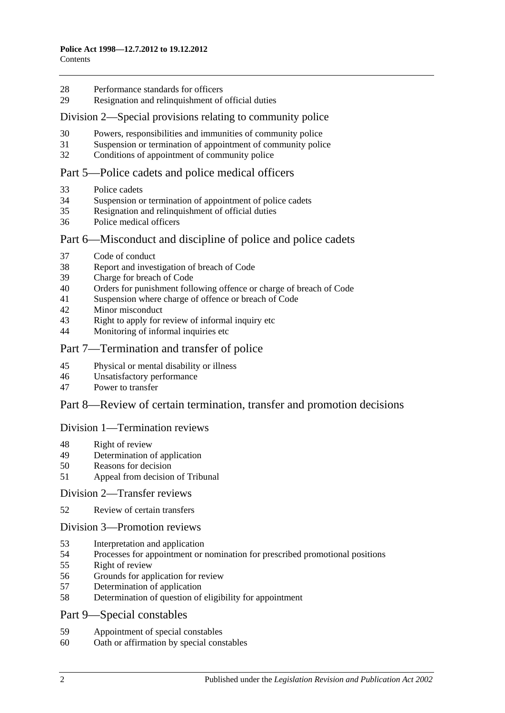- [Performance standards for officers](#page-11-0)
- Resignation [and relinquishment of official duties](#page-11-1)

#### [Division 2—Special provisions relating to community police](#page-11-2)

- [Powers, responsibilities and immunities of community police](#page-11-3)
- [Suspension or termination of appointment of community police](#page-11-4)
- [Conditions of appointment of community police](#page-12-0)

#### [Part 5—Police cadets and police medical officers](#page-12-1)

- [Police cadets](#page-12-2)
- [Suspension or termination of appointment of police cadets](#page-12-3)
- [Resignation and relinquishment of official duties](#page-12-4)
- [Police medical officers](#page-12-5)

#### Part [6—Misconduct and discipline of police and police cadets](#page-12-6)

- [Code of conduct](#page-12-7)
- [Report and investigation of breach of Code](#page-13-0)
- [Charge for breach of Code](#page-13-1)
- [Orders for punishment following offence or charge of breach of Code](#page-13-2)
- [Suspension where charge of offence or breach of Code](#page-14-0)
- [Minor misconduct](#page-15-0)
- [Right to apply for review of informal inquiry etc](#page-16-0)
- [Monitoring of informal inquiries etc](#page-17-0)

#### [Part 7—Termination and transfer of police](#page-17-1)

- [Physical or mental disability or illness](#page-17-2)
- [Unsatisfactory performance](#page-17-3)
- [Power to transfer](#page-18-0)

#### [Part 8—Review of certain termination, transfer and promotion decisions](#page-18-1)

#### [Division 1—Termination reviews](#page-18-2)

- [Right of review](#page-18-3)
- [Determination of application](#page-19-0)
- [Reasons for decision](#page-19-1)
- [Appeal from decision of Tribunal](#page-19-2)

#### [Division 2—Transfer reviews](#page-19-3)

[Review of certain transfers](#page-19-4)

#### [Division 3—Promotion reviews](#page-20-0)

- [Interpretation and application](#page-20-1)
- [Processes for appointment or nomination for prescribed promotional positions](#page-20-2)
- [Right of review](#page-20-3)
- [Grounds for application for review](#page-20-4)
- [Determination of application](#page-21-0)
- [Determination of question of eligibility for appointment](#page-21-1)
- [Part 9—Special constables](#page-21-2)
- [Appointment of special constables](#page-21-3)
- [Oath or affirmation by special constables](#page-21-4)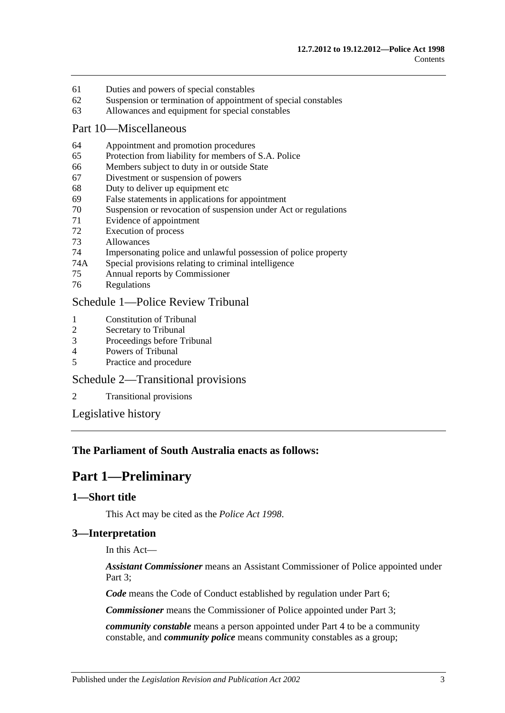- 61 [Duties and powers of special constables](#page-21-5)
- 62 [Suspension or termination of appointment of special constables](#page-22-0)
- 63 [Allowances and equipment for special constables](#page-22-1)

#### [Part 10—Miscellaneous](#page-22-2)

- 64 [Appointment and promotion procedures](#page-22-3)
- 65 [Protection from liability for members of S.A. Police](#page-22-4)
- 66 [Members subject to duty in or outside State](#page-22-5)
- 67 [Divestment or suspension of powers](#page-23-0)
- 68 [Duty to deliver up equipment etc](#page-23-1)
- 69 [False statements in applications for appointment](#page-23-2)
- 70 [Suspension or revocation of suspension under Act or regulations](#page-23-3)
- 71 [Evidence of appointment](#page-24-0)
- 72 [Execution of process](#page-24-1)
- 73 [Allowances](#page-24-2)
- 74 [Impersonating police and unlawful possession of police property](#page-25-0)
- 74A [Special provisions relating to criminal intelligence](#page-25-1)
- 75 [Annual reports by Commissioner](#page-26-0)
- 76 [Regulations](#page-26-1)

#### [Schedule 1—Police Review Tribunal](#page-27-0)

- 1 [Constitution of Tribunal](#page-27-1)<br>2 Secretary to Tribunal
- [Secretary to Tribunal](#page-27-2)
- 3 [Proceedings before Tribunal](#page-27-3)
- 4 [Powers of Tribunal](#page-28-0)
- 5 [Practice and procedure](#page-28-1)

#### [Schedule 2—Transitional provisions](#page-28-2)

2 [Transitional provisions](#page-28-3)

[Legislative history](#page-30-0)

#### <span id="page-2-0"></span>**The Parliament of South Australia enacts as follows:**

## **Part 1—Preliminary**

#### <span id="page-2-1"></span>**1—Short title**

This Act may be cited as the *Police Act 1998*.

## <span id="page-2-2"></span>**3—Interpretation**

In this Act—

*Assistant Commissioner* means an Assistant Commissioner of Police appointed under Part 3:

*Code* means the Code of Conduct established by regulation under [Part 6;](#page-12-6)

*Commissioner* means the Commissioner of Police appointed under [Part 3;](#page-5-1)

*community constable* means a person appointed under [Part 4](#page-9-0) to be a community constable, and *community police* means community constables as a group;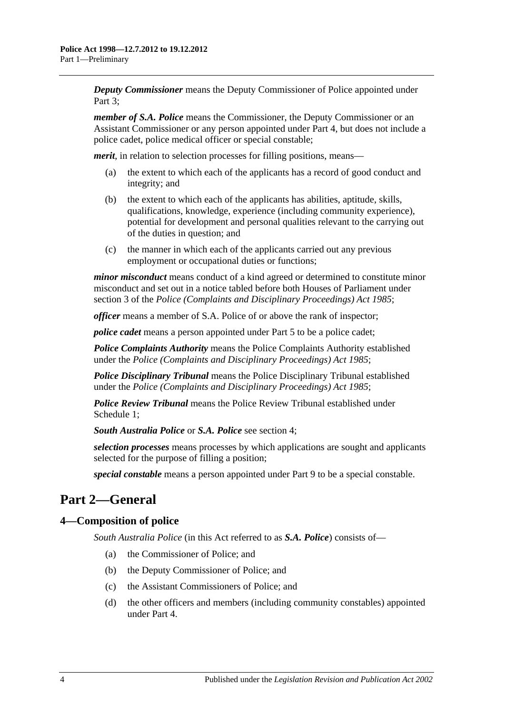*Deputy Commissioner* means the Deputy Commissioner of Police appointed under Part 3:

*member of S.A. Police* means the Commissioner, the Deputy Commissioner or an Assistant Commissioner or any person appointed under [Part 4,](#page-9-0) but does not include a police cadet, police medical officer or special constable;

*merit*, in relation to selection processes for filling positions, means—

- (a) the extent to which each of the applicants has a record of good conduct and integrity; and
- (b) the extent to which each of the applicants has abilities, aptitude, skills, qualifications, knowledge, experience (including community experience), potential for development and personal qualities relevant to the carrying out of the duties in question; and
- (c) the manner in which each of the applicants carried out any previous employment or occupational duties or functions;

*minor misconduct* means conduct of a kind agreed or determined to constitute minor misconduct and set out in a notice tabled before both Houses of Parliament under section 3 of the *[Police \(Complaints and Disciplinary Proceedings\) Act](http://www.legislation.sa.gov.au/index.aspx?action=legref&type=act&legtitle=Police%20(Complaints%20and%20Disciplinary%20Proceedings)%20Act%201985) 1985*;

*officer* means a member of S.A. Police of or above the rank of inspector;

*police cadet* means a person appointed under [Part 5](#page-12-1) to be a police cadet;

*Police Complaints Authority* means the Police Complaints Authority established under the *[Police \(Complaints and Disciplinary Proceedings\) Act](http://www.legislation.sa.gov.au/index.aspx?action=legref&type=act&legtitle=Police%20(Complaints%20and%20Disciplinary%20Proceedings)%20Act%201985) 1985*;

*Police Disciplinary Tribunal* means the Police Disciplinary Tribunal established under the *[Police \(Complaints and Disciplinary Proceedings\) Act](http://www.legislation.sa.gov.au/index.aspx?action=legref&type=act&legtitle=Police%20(Complaints%20and%20Disciplinary%20Proceedings)%20Act%201985) 1985*;

*Police Review Tribunal* means the Police Review Tribunal established under [Schedule 1;](#page-27-0)

*South Australia Police* or *S.A. Police* see [section](#page-3-1) 4;

*selection processes* means processes by which applications are sought and applicants selected for the purpose of filling a position;

*special constable* means a person appointed under [Part 9](#page-21-2) to be a special constable.

## <span id="page-3-0"></span>**Part 2—General**

## <span id="page-3-1"></span>**4—Composition of police**

*South Australia Police* (in this Act referred to as *S.A. Police*) consists of—

- (a) the Commissioner of Police; and
- (b) the Deputy Commissioner of Police; and
- (c) the Assistant Commissioners of Police; and
- (d) the other officers and members (including community constables) appointed under [Part 4.](#page-9-0)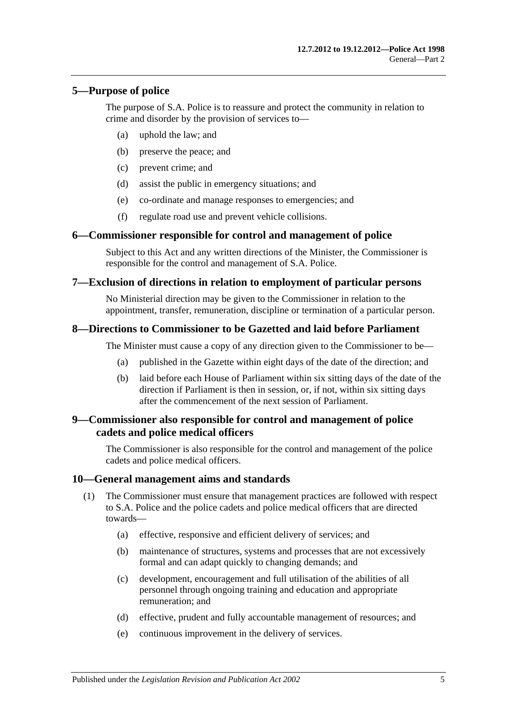## <span id="page-4-0"></span>**5—Purpose of police**

The purpose of S.A. Police is to reassure and protect the community in relation to crime and disorder by the provision of services to—

- (a) uphold the law; and
- (b) preserve the peace; and
- (c) prevent crime; and
- (d) assist the public in emergency situations; and
- (e) co-ordinate and manage responses to emergencies; and
- (f) regulate road use and prevent vehicle collisions.

#### <span id="page-4-1"></span>**6—Commissioner responsible for control and management of police**

Subject to this Act and any written directions of the Minister, the Commissioner is responsible for the control and management of S.A. Police.

#### <span id="page-4-2"></span>**7—Exclusion of directions in relation to employment of particular persons**

No Ministerial direction may be given to the Commissioner in relation to the appointment, transfer, remuneration, discipline or termination of a particular person.

#### <span id="page-4-3"></span>**8—Directions to Commissioner to be Gazetted and laid before Parliament**

The Minister must cause a copy of any direction given to the Commissioner to be—

- (a) published in the Gazette within eight days of the date of the direction; and
- (b) laid before each House of Parliament within six sitting days of the date of the direction if Parliament is then in session, or, if not, within six sitting days after the commencement of the next session of Parliament.

#### <span id="page-4-4"></span>**9—Commissioner also responsible for control and management of police cadets and police medical officers**

The Commissioner is also responsible for the control and management of the police cadets and police medical officers.

#### <span id="page-4-5"></span>**10—General management aims and standards**

- (1) The Commissioner must ensure that management practices are followed with respect to S.A. Police and the police cadets and police medical officers that are directed towards—
	- (a) effective, responsive and efficient delivery of services; and
	- (b) maintenance of structures, systems and processes that are not excessively formal and can adapt quickly to changing demands; and
	- (c) development, encouragement and full utilisation of the abilities of all personnel through ongoing training and education and appropriate remuneration; and
	- (d) effective, prudent and fully accountable management of resources; and
	- (e) continuous improvement in the delivery of services.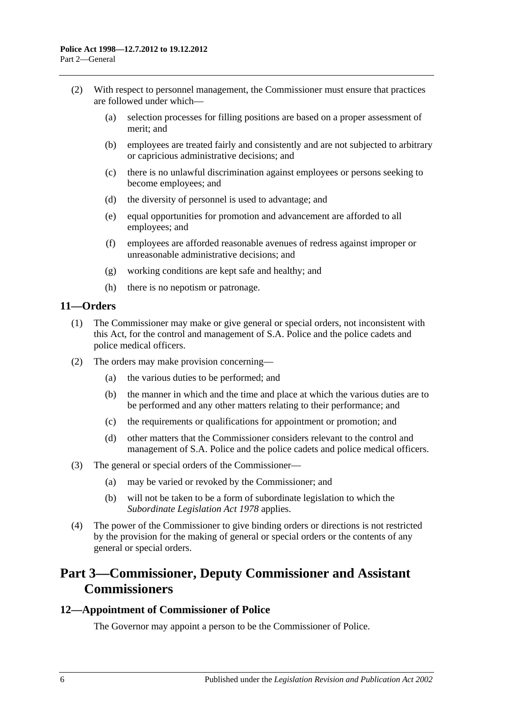- (2) With respect to personnel management, the Commissioner must ensure that practices are followed under which—
	- (a) selection processes for filling positions are based on a proper assessment of merit; and
	- (b) employees are treated fairly and consistently and are not subjected to arbitrary or capricious administrative decisions; and
	- (c) there is no unlawful discrimination against employees or persons seeking to become employees; and
	- (d) the diversity of personnel is used to advantage; and
	- (e) equal opportunities for promotion and advancement are afforded to all employees; and
	- (f) employees are afforded reasonable avenues of redress against improper or unreasonable administrative decisions; and
	- (g) working conditions are kept safe and healthy; and
	- (h) there is no nepotism or patronage.

## <span id="page-5-0"></span>**11—Orders**

- (1) The Commissioner may make or give general or special orders, not inconsistent with this Act, for the control and management of S.A. Police and the police cadets and police medical officers.
- (2) The orders may make provision concerning—
	- (a) the various duties to be performed; and
	- (b) the manner in which and the time and place at which the various duties are to be performed and any other matters relating to their performance; and
	- (c) the requirements or qualifications for appointment or promotion; and
	- (d) other matters that the Commissioner considers relevant to the control and management of S.A. Police and the police cadets and police medical officers.
- (3) The general or special orders of the Commissioner—
	- (a) may be varied or revoked by the Commissioner; and
	- (b) will not be taken to be a form of subordinate legislation to which the *[Subordinate Legislation Act](http://www.legislation.sa.gov.au/index.aspx?action=legref&type=act&legtitle=Subordinate%20Legislation%20Act%201978) 1978* applies.
- (4) The power of the Commissioner to give binding orders or directions is not restricted by the provision for the making of general or special orders or the contents of any general or special orders.

## <span id="page-5-1"></span>**Part 3—Commissioner, Deputy Commissioner and Assistant Commissioners**

#### <span id="page-5-2"></span>**12—Appointment of Commissioner of Police**

The Governor may appoint a person to be the Commissioner of Police.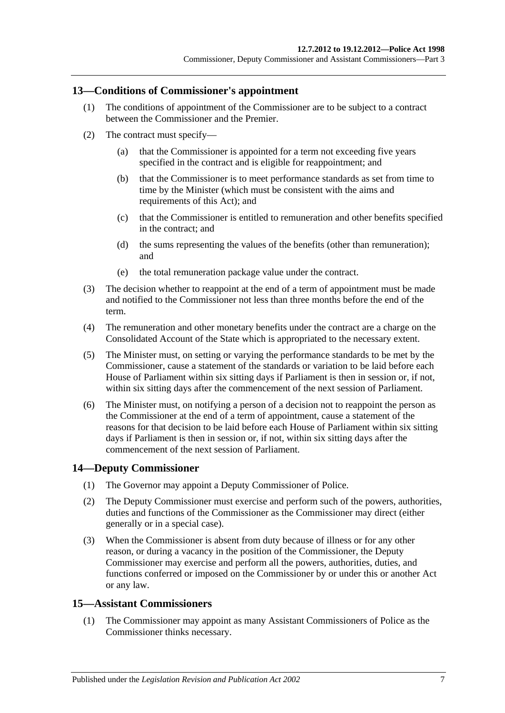#### <span id="page-6-0"></span>**13—Conditions of Commissioner's appointment**

- (1) The conditions of appointment of the Commissioner are to be subject to a contract between the Commissioner and the Premier.
- (2) The contract must specify—
	- (a) that the Commissioner is appointed for a term not exceeding five years specified in the contract and is eligible for reappointment; and
	- (b) that the Commissioner is to meet performance standards as set from time to time by the Minister (which must be consistent with the aims and requirements of this Act); and
	- (c) that the Commissioner is entitled to remuneration and other benefits specified in the contract; and
	- (d) the sums representing the values of the benefits (other than remuneration); and
	- (e) the total remuneration package value under the contract.
- (3) The decision whether to reappoint at the end of a term of appointment must be made and notified to the Commissioner not less than three months before the end of the term.
- (4) The remuneration and other monetary benefits under the contract are a charge on the Consolidated Account of the State which is appropriated to the necessary extent.
- (5) The Minister must, on setting or varying the performance standards to be met by the Commissioner, cause a statement of the standards or variation to be laid before each House of Parliament within six sitting days if Parliament is then in session or, if not, within six sitting days after the commencement of the next session of Parliament.
- (6) The Minister must, on notifying a person of a decision not to reappoint the person as the Commissioner at the end of a term of appointment, cause a statement of the reasons for that decision to be laid before each House of Parliament within six sitting days if Parliament is then in session or, if not, within six sitting days after the commencement of the next session of Parliament.

## <span id="page-6-1"></span>**14—Deputy Commissioner**

- (1) The Governor may appoint a Deputy Commissioner of Police.
- (2) The Deputy Commissioner must exercise and perform such of the powers, authorities, duties and functions of the Commissioner as the Commissioner may direct (either generally or in a special case).
- (3) When the Commissioner is absent from duty because of illness or for any other reason, or during a vacancy in the position of the Commissioner, the Deputy Commissioner may exercise and perform all the powers, authorities, duties, and functions conferred or imposed on the Commissioner by or under this or another Act or any law.

#### <span id="page-6-2"></span>**15—Assistant Commissioners**

(1) The Commissioner may appoint as many Assistant Commissioners of Police as the Commissioner thinks necessary.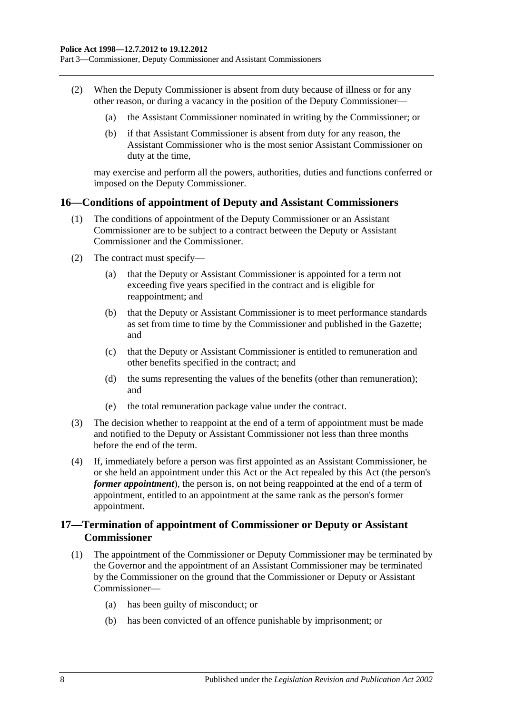Part 3—Commissioner, Deputy Commissioner and Assistant Commissioners

- (2) When the Deputy Commissioner is absent from duty because of illness or for any other reason, or during a vacancy in the position of the Deputy Commissioner—
	- (a) the Assistant Commissioner nominated in writing by the Commissioner; or
	- (b) if that Assistant Commissioner is absent from duty for any reason, the Assistant Commissioner who is the most senior Assistant Commissioner on duty at the time,

may exercise and perform all the powers, authorities, duties and functions conferred or imposed on the Deputy Commissioner.

#### <span id="page-7-0"></span>**16—Conditions of appointment of Deputy and Assistant Commissioners**

- (1) The conditions of appointment of the Deputy Commissioner or an Assistant Commissioner are to be subject to a contract between the Deputy or Assistant Commissioner and the Commissioner.
- (2) The contract must specify—
	- (a) that the Deputy or Assistant Commissioner is appointed for a term not exceeding five years specified in the contract and is eligible for reappointment; and
	- (b) that the Deputy or Assistant Commissioner is to meet performance standards as set from time to time by the Commissioner and published in the Gazette; and
	- (c) that the Deputy or Assistant Commissioner is entitled to remuneration and other benefits specified in the contract; and
	- (d) the sums representing the values of the benefits (other than remuneration); and
	- (e) the total remuneration package value under the contract.
- (3) The decision whether to reappoint at the end of a term of appointment must be made and notified to the Deputy or Assistant Commissioner not less than three months before the end of the term.
- (4) If, immediately before a person was first appointed as an Assistant Commissioner, he or she held an appointment under this Act or the Act repealed by this Act (the person's *former appointment*), the person is, on not being reappointed at the end of a term of appointment, entitled to an appointment at the same rank as the person's former appointment.

## <span id="page-7-1"></span>**17—Termination of appointment of Commissioner or Deputy or Assistant Commissioner**

- (1) The appointment of the Commissioner or Deputy Commissioner may be terminated by the Governor and the appointment of an Assistant Commissioner may be terminated by the Commissioner on the ground that the Commissioner or Deputy or Assistant Commissioner—
	- (a) has been guilty of misconduct; or
	- (b) has been convicted of an offence punishable by imprisonment; or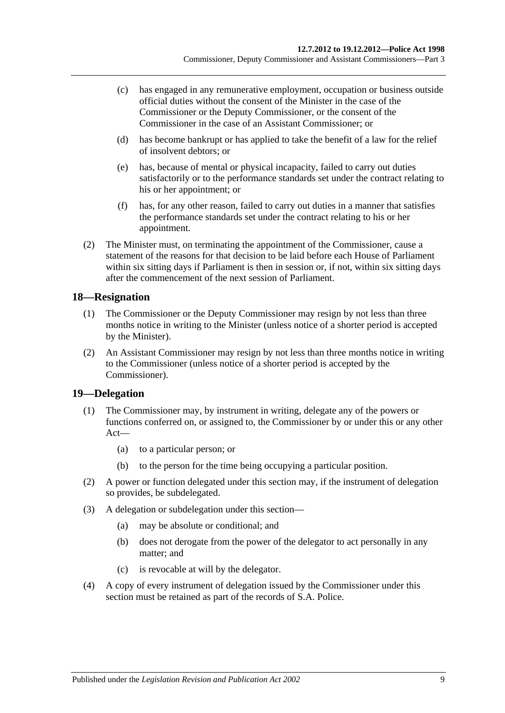- (c) has engaged in any remunerative employment, occupation or business outside official duties without the consent of the Minister in the case of the Commissioner or the Deputy Commissioner, or the consent of the Commissioner in the case of an Assistant Commissioner; or
- (d) has become bankrupt or has applied to take the benefit of a law for the relief of insolvent debtors; or
- (e) has, because of mental or physical incapacity, failed to carry out duties satisfactorily or to the performance standards set under the contract relating to his or her appointment; or
- (f) has, for any other reason, failed to carry out duties in a manner that satisfies the performance standards set under the contract relating to his or her appointment.
- (2) The Minister must, on terminating the appointment of the Commissioner, cause a statement of the reasons for that decision to be laid before each House of Parliament within six sitting days if Parliament is then in session or, if not, within six sitting days after the commencement of the next session of Parliament.

## <span id="page-8-0"></span>**18—Resignation**

- (1) The Commissioner or the Deputy Commissioner may resign by not less than three months notice in writing to the Minister (unless notice of a shorter period is accepted by the Minister).
- (2) An Assistant Commissioner may resign by not less than three months notice in writing to the Commissioner (unless notice of a shorter period is accepted by the Commissioner).

## <span id="page-8-1"></span>**19—Delegation**

- (1) The Commissioner may, by instrument in writing, delegate any of the powers or functions conferred on, or assigned to, the Commissioner by or under this or any other Act—
	- (a) to a particular person; or
	- (b) to the person for the time being occupying a particular position.
- (2) A power or function delegated under this section may, if the instrument of delegation so provides, be subdelegated.
- (3) A delegation or subdelegation under this section—
	- (a) may be absolute or conditional; and
	- (b) does not derogate from the power of the delegator to act personally in any matter; and
	- (c) is revocable at will by the delegator.
- (4) A copy of every instrument of delegation issued by the Commissioner under this section must be retained as part of the records of S.A. Police.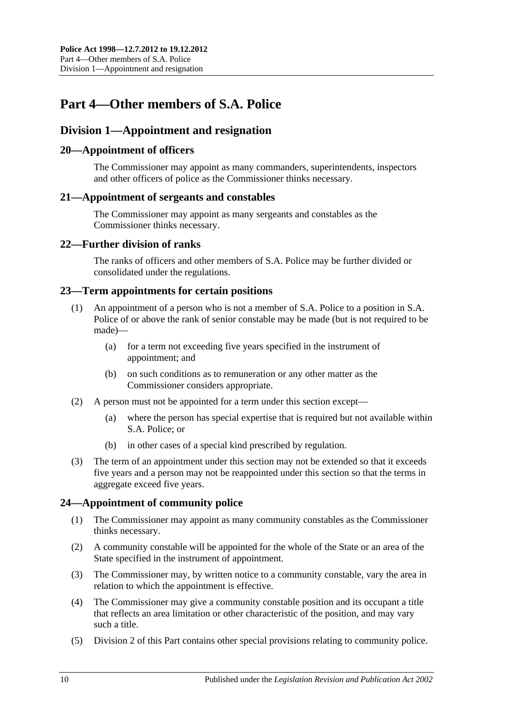## <span id="page-9-0"></span>**Part 4—Other members of S.A. Police**

## <span id="page-9-1"></span>**Division 1—Appointment and resignation**

## <span id="page-9-2"></span>**20—Appointment of officers**

The Commissioner may appoint as many commanders, superintendents, inspectors and other officers of police as the Commissioner thinks necessary.

#### <span id="page-9-3"></span>**21—Appointment of sergeants and constables**

The Commissioner may appoint as many sergeants and constables as the Commissioner thinks necessary.

## <span id="page-9-4"></span>**22—Further division of ranks**

The ranks of officers and other members of S.A. Police may be further divided or consolidated under the regulations.

#### <span id="page-9-5"></span>**23—Term appointments for certain positions**

- (1) An appointment of a person who is not a member of S.A. Police to a position in S.A. Police of or above the rank of senior constable may be made (but is not required to be made)—
	- (a) for a term not exceeding five years specified in the instrument of appointment; and
	- (b) on such conditions as to remuneration or any other matter as the Commissioner considers appropriate.
- (2) A person must not be appointed for a term under this section except—
	- (a) where the person has special expertise that is required but not available within S.A. Police; or
	- (b) in other cases of a special kind prescribed by regulation.
- (3) The term of an appointment under this section may not be extended so that it exceeds five years and a person may not be reappointed under this section so that the terms in aggregate exceed five years.

## <span id="page-9-6"></span>**24—Appointment of community police**

- (1) The Commissioner may appoint as many community constables as the Commissioner thinks necessary.
- (2) A community constable will be appointed for the whole of the State or an area of the State specified in the instrument of appointment.
- (3) The Commissioner may, by written notice to a community constable, vary the area in relation to which the appointment is effective.
- (4) The Commissioner may give a community constable position and its occupant a title that reflects an area limitation or other characteristic of the position, and may vary such a title.
- (5) [Division 2](#page-11-2) of this Part contains other special provisions relating to community police.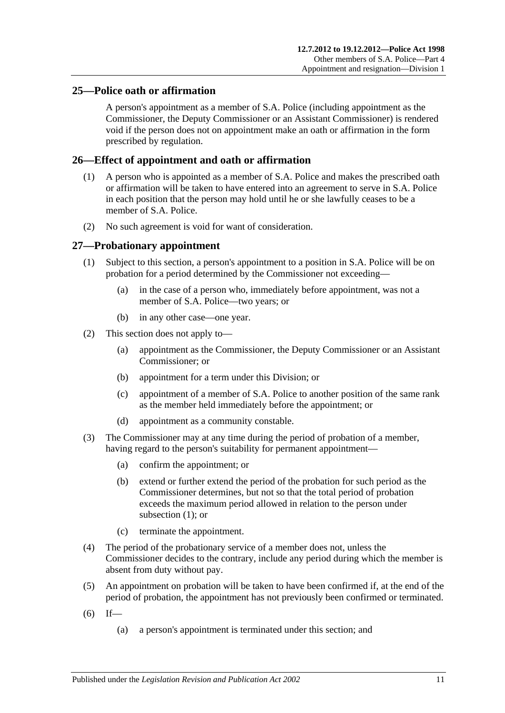## <span id="page-10-0"></span>**25—Police oath or affirmation**

A person's appointment as a member of S.A. Police (including appointment as the Commissioner, the Deputy Commissioner or an Assistant Commissioner) is rendered void if the person does not on appointment make an oath or affirmation in the form prescribed by regulation.

## <span id="page-10-1"></span>**26—Effect of appointment and oath or affirmation**

- (1) A person who is appointed as a member of S.A. Police and makes the prescribed oath or affirmation will be taken to have entered into an agreement to serve in S.A. Police in each position that the person may hold until he or she lawfully ceases to be a member of S.A. Police.
- (2) No such agreement is void for want of consideration.

#### <span id="page-10-3"></span><span id="page-10-2"></span>**27—Probationary appointment**

- (1) Subject to this section, a person's appointment to a position in S.A. Police will be on probation for a period determined by the Commissioner not exceeding—
	- (a) in the case of a person who, immediately before appointment, was not a member of S.A. Police—two years; or
	- (b) in any other case—one year.
- (2) This section does not apply to—
	- (a) appointment as the Commissioner, the Deputy Commissioner or an Assistant Commissioner; or
	- (b) appointment for a term under this Division; or
	- (c) appointment of a member of S.A. Police to another position of the same rank as the member held immediately before the appointment; or
	- (d) appointment as a community constable.
- (3) The Commissioner may at any time during the period of probation of a member, having regard to the person's suitability for permanent appointment—
	- (a) confirm the appointment; or
	- (b) extend or further extend the period of the probation for such period as the Commissioner determines, but not so that the total period of probation exceeds the maximum period allowed in relation to the person under [subsection](#page-10-3) (1); or
	- (c) terminate the appointment.
- (4) The period of the probationary service of a member does not, unless the Commissioner decides to the contrary, include any period during which the member is absent from duty without pay.
- (5) An appointment on probation will be taken to have been confirmed if, at the end of the period of probation, the appointment has not previously been confirmed or terminated.
- $(6)$  If—
	- (a) a person's appointment is terminated under this section; and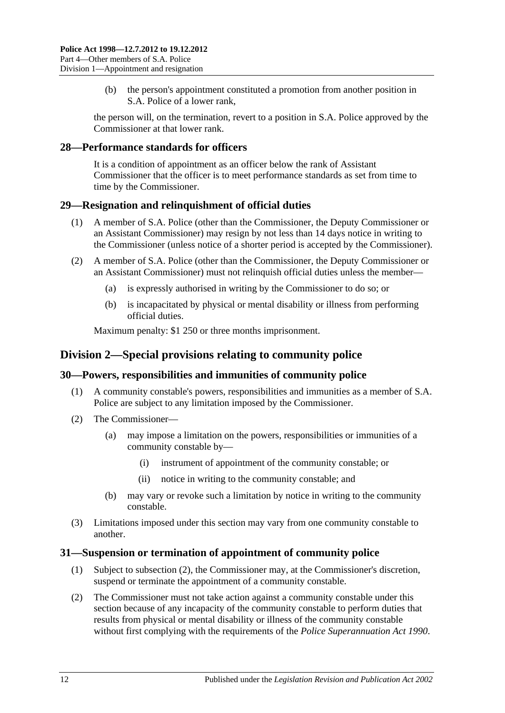(b) the person's appointment constituted a promotion from another position in S.A. Police of a lower rank,

the person will, on the termination, revert to a position in S.A. Police approved by the Commissioner at that lower rank.

#### <span id="page-11-0"></span>**28—Performance standards for officers**

It is a condition of appointment as an officer below the rank of Assistant Commissioner that the officer is to meet performance standards as set from time to time by the Commissioner.

#### <span id="page-11-1"></span>**29—Resignation and relinquishment of official duties**

- (1) A member of S.A. Police (other than the Commissioner, the Deputy Commissioner or an Assistant Commissioner) may resign by not less than 14 days notice in writing to the Commissioner (unless notice of a shorter period is accepted by the Commissioner).
- (2) A member of S.A. Police (other than the Commissioner, the Deputy Commissioner or an Assistant Commissioner) must not relinquish official duties unless the member—
	- (a) is expressly authorised in writing by the Commissioner to do so; or
	- (b) is incapacitated by physical or mental disability or illness from performing official duties.

Maximum penalty: \$1 250 or three months imprisonment.

## <span id="page-11-2"></span>**Division 2—Special provisions relating to community police**

## <span id="page-11-3"></span>**30—Powers, responsibilities and immunities of community police**

- (1) A community constable's powers, responsibilities and immunities as a member of S.A. Police are subject to any limitation imposed by the Commissioner.
- (2) The Commissioner—
	- (a) may impose a limitation on the powers, responsibilities or immunities of a community constable by—
		- (i) instrument of appointment of the community constable; or
		- (ii) notice in writing to the community constable; and
	- (b) may vary or revoke such a limitation by notice in writing to the community constable.
- (3) Limitations imposed under this section may vary from one community constable to another.

#### <span id="page-11-4"></span>**31—Suspension or termination of appointment of community police**

- (1) Subject to [subsection](#page-11-5) (2), the Commissioner may, at the Commissioner's discretion, suspend or terminate the appointment of a community constable.
- <span id="page-11-5"></span>(2) The Commissioner must not take action against a community constable under this section because of any incapacity of the community constable to perform duties that results from physical or mental disability or illness of the community constable without first complying with the requirements of the *[Police Superannuation Act](http://www.legislation.sa.gov.au/index.aspx?action=legref&type=act&legtitle=Police%20Superannuation%20Act%201990) 1990*.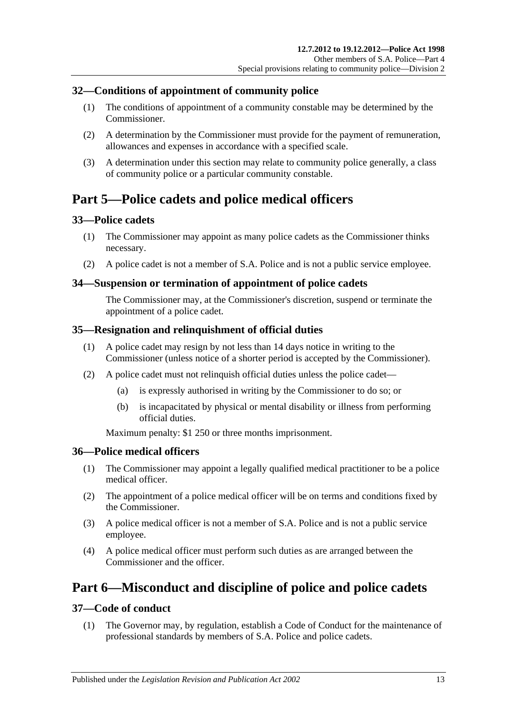## <span id="page-12-0"></span>**32—Conditions of appointment of community police**

- (1) The conditions of appointment of a community constable may be determined by the Commissioner.
- (2) A determination by the Commissioner must provide for the payment of remuneration, allowances and expenses in accordance with a specified scale.
- (3) A determination under this section may relate to community police generally, a class of community police or a particular community constable.

## <span id="page-12-1"></span>**Part 5—Police cadets and police medical officers**

## <span id="page-12-2"></span>**33—Police cadets**

- (1) The Commissioner may appoint as many police cadets as the Commissioner thinks necessary.
- (2) A police cadet is not a member of S.A. Police and is not a public service employee.

#### <span id="page-12-3"></span>**34—Suspension or termination of appointment of police cadets**

The Commissioner may, at the Commissioner's discretion, suspend or terminate the appointment of a police cadet.

## <span id="page-12-4"></span>**35—Resignation and relinquishment of official duties**

- (1) A police cadet may resign by not less than 14 days notice in writing to the Commissioner (unless notice of a shorter period is accepted by the Commissioner).
- (2) A police cadet must not relinquish official duties unless the police cadet—
	- (a) is expressly authorised in writing by the Commissioner to do so; or
	- (b) is incapacitated by physical or mental disability or illness from performing official duties.

Maximum penalty: \$1 250 or three months imprisonment.

## <span id="page-12-5"></span>**36—Police medical officers**

- (1) The Commissioner may appoint a legally qualified medical practitioner to be a police medical officer.
- (2) The appointment of a police medical officer will be on terms and conditions fixed by the Commissioner.
- (3) A police medical officer is not a member of S.A. Police and is not a public service employee.
- (4) A police medical officer must perform such duties as are arranged between the Commissioner and the officer.

## <span id="page-12-6"></span>**Part 6—Misconduct and discipline of police and police cadets**

## <span id="page-12-7"></span>**37—Code of conduct**

(1) The Governor may, by regulation, establish a Code of Conduct for the maintenance of professional standards by members of S.A. Police and police cadets.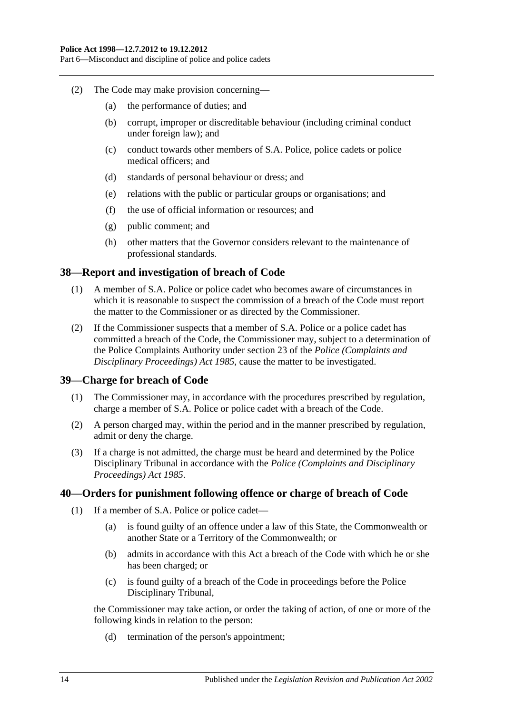Part 6—Misconduct and discipline of police and police cadets

- (2) The Code may make provision concerning—
	- (a) the performance of duties; and
	- (b) corrupt, improper or discreditable behaviour (including criminal conduct under foreign law); and
	- (c) conduct towards other members of S.A. Police, police cadets or police medical officers; and
	- (d) standards of personal behaviour or dress; and
	- (e) relations with the public or particular groups or organisations; and
	- (f) the use of official information or resources; and
	- (g) public comment; and
	- (h) other matters that the Governor considers relevant to the maintenance of professional standards.

## <span id="page-13-0"></span>**38—Report and investigation of breach of Code**

- (1) A member of S.A. Police or police cadet who becomes aware of circumstances in which it is reasonable to suspect the commission of a breach of the Code must report the matter to the Commissioner or as directed by the Commissioner.
- (2) If the Commissioner suspects that a member of S.A. Police or a police cadet has committed a breach of the Code, the Commissioner may, subject to a determination of the Police Complaints Authority under section 23 of the *[Police \(Complaints and](http://www.legislation.sa.gov.au/index.aspx?action=legref&type=act&legtitle=Police%20(Complaints%20and%20Disciplinary%20Proceedings)%20Act%201985)  [Disciplinary Proceedings\) Act](http://www.legislation.sa.gov.au/index.aspx?action=legref&type=act&legtitle=Police%20(Complaints%20and%20Disciplinary%20Proceedings)%20Act%201985) 1985*, cause the matter to be investigated.

## <span id="page-13-1"></span>**39—Charge for breach of Code**

- (1) The Commissioner may, in accordance with the procedures prescribed by regulation, charge a member of S.A. Police or police cadet with a breach of the Code.
- (2) A person charged may, within the period and in the manner prescribed by regulation, admit or deny the charge.
- (3) If a charge is not admitted, the charge must be heard and determined by the Police Disciplinary Tribunal in accordance with the *[Police \(Complaints and Disciplinary](http://www.legislation.sa.gov.au/index.aspx?action=legref&type=act&legtitle=Police%20(Complaints%20and%20Disciplinary%20Proceedings)%20Act%201985)  [Proceedings\) Act](http://www.legislation.sa.gov.au/index.aspx?action=legref&type=act&legtitle=Police%20(Complaints%20and%20Disciplinary%20Proceedings)%20Act%201985) 1985*.

#### <span id="page-13-2"></span>**40—Orders for punishment following offence or charge of breach of Code**

- (1) If a member of S.A. Police or police cadet—
	- (a) is found guilty of an offence under a law of this State, the Commonwealth or another State or a Territory of the Commonwealth; or
	- (b) admits in accordance with this Act a breach of the Code with which he or she has been charged; or
	- (c) is found guilty of a breach of the Code in proceedings before the Police Disciplinary Tribunal,

the Commissioner may take action, or order the taking of action, of one or more of the following kinds in relation to the person:

(d) termination of the person's appointment;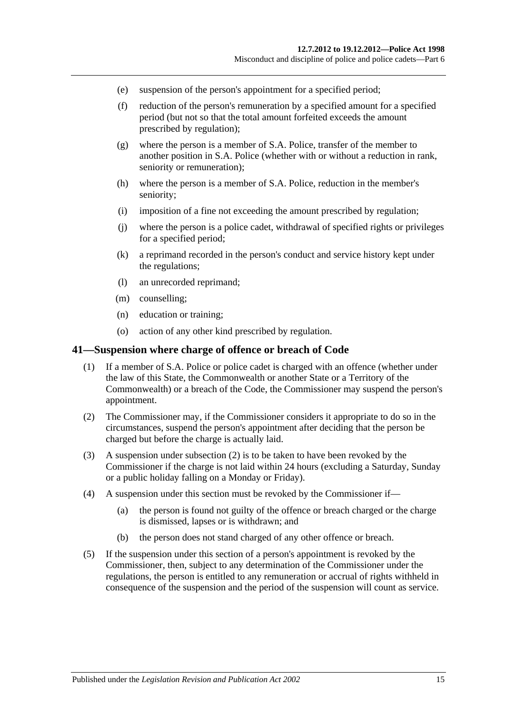- (e) suspension of the person's appointment for a specified period;
- (f) reduction of the person's remuneration by a specified amount for a specified period (but not so that the total amount forfeited exceeds the amount prescribed by regulation);
- (g) where the person is a member of S.A. Police, transfer of the member to another position in S.A. Police (whether with or without a reduction in rank, seniority or remuneration);
- (h) where the person is a member of S.A. Police, reduction in the member's seniority;
- (i) imposition of a fine not exceeding the amount prescribed by regulation;
- (j) where the person is a police cadet, withdrawal of specified rights or privileges for a specified period;
- (k) a reprimand recorded in the person's conduct and service history kept under the regulations;
- (l) an unrecorded reprimand;
- (m) counselling;
- (n) education or training;
- (o) action of any other kind prescribed by regulation.

#### <span id="page-14-0"></span>**41—Suspension where charge of offence or breach of Code**

- (1) If a member of S.A. Police or police cadet is charged with an offence (whether under the law of this State, the Commonwealth or another State or a Territory of the Commonwealth) or a breach of the Code, the Commissioner may suspend the person's appointment.
- <span id="page-14-1"></span>(2) The Commissioner may, if the Commissioner considers it appropriate to do so in the circumstances, suspend the person's appointment after deciding that the person be charged but before the charge is actually laid.
- (3) A suspension under [subsection](#page-14-1) (2) is to be taken to have been revoked by the Commissioner if the charge is not laid within 24 hours (excluding a Saturday, Sunday or a public holiday falling on a Monday or Friday).
- (4) A suspension under this section must be revoked by the Commissioner if—
	- (a) the person is found not guilty of the offence or breach charged or the charge is dismissed, lapses or is withdrawn; and
	- (b) the person does not stand charged of any other offence or breach.
- (5) If the suspension under this section of a person's appointment is revoked by the Commissioner, then, subject to any determination of the Commissioner under the regulations, the person is entitled to any remuneration or accrual of rights withheld in consequence of the suspension and the period of the suspension will count as service.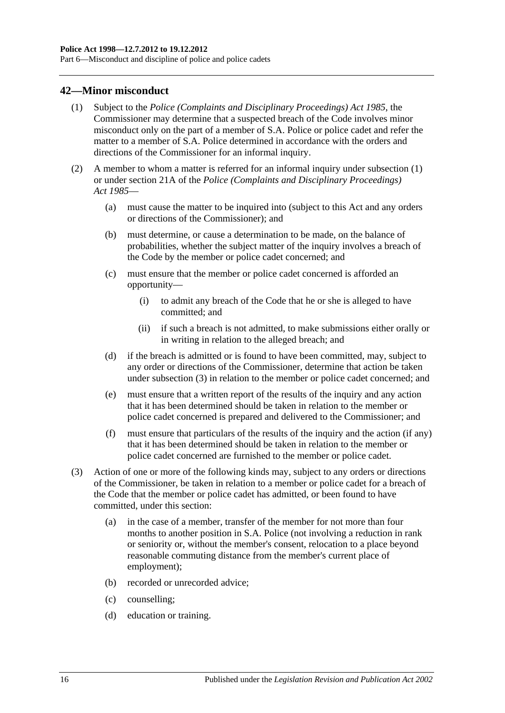Part 6—Misconduct and discipline of police and police cadets

#### <span id="page-15-1"></span><span id="page-15-0"></span>**42—Minor misconduct**

- (1) Subject to the *[Police \(Complaints and Disciplinary Proceedings\) Act](http://www.legislation.sa.gov.au/index.aspx?action=legref&type=act&legtitle=Police%20(Complaints%20and%20Disciplinary%20Proceedings)%20Act%201985) 1985*, the Commissioner may determine that a suspected breach of the Code involves minor misconduct only on the part of a member of S.A. Police or police cadet and refer the matter to a member of S.A. Police determined in accordance with the orders and directions of the Commissioner for an informal inquiry.
- (2) A member to whom a matter is referred for an informal inquiry under [subsection](#page-15-1) (1) or under section 21A of the *[Police \(Complaints and Disciplinary Proceedings\)](http://www.legislation.sa.gov.au/index.aspx?action=legref&type=act&legtitle=Police%20(Complaints%20and%20Disciplinary%20Proceedings)%20Act%201985)  Act [1985](http://www.legislation.sa.gov.au/index.aspx?action=legref&type=act&legtitle=Police%20(Complaints%20and%20Disciplinary%20Proceedings)%20Act%201985)*—
	- (a) must cause the matter to be inquired into (subject to this Act and any orders or directions of the Commissioner); and
	- (b) must determine, or cause a determination to be made, on the balance of probabilities, whether the subject matter of the inquiry involves a breach of the Code by the member or police cadet concerned; and
	- (c) must ensure that the member or police cadet concerned is afforded an opportunity—
		- (i) to admit any breach of the Code that he or she is alleged to have committed; and
		- (ii) if such a breach is not admitted, to make submissions either orally or in writing in relation to the alleged breach; and
	- (d) if the breach is admitted or is found to have been committed, may, subject to any order or directions of the Commissioner, determine that action be taken under [subsection](#page-15-2) (3) in relation to the member or police cadet concerned; and
	- (e) must ensure that a written report of the results of the inquiry and any action that it has been determined should be taken in relation to the member or police cadet concerned is prepared and delivered to the Commissioner; and
	- (f) must ensure that particulars of the results of the inquiry and the action (if any) that it has been determined should be taken in relation to the member or police cadet concerned are furnished to the member or police cadet.
- <span id="page-15-2"></span>(3) Action of one or more of the following kinds may, subject to any orders or directions of the Commissioner, be taken in relation to a member or police cadet for a breach of the Code that the member or police cadet has admitted, or been found to have committed, under this section:
	- (a) in the case of a member, transfer of the member for not more than four months to another position in S.A. Police (not involving a reduction in rank or seniority or, without the member's consent, relocation to a place beyond reasonable commuting distance from the member's current place of employment);
	- (b) recorded or unrecorded advice;
	- (c) counselling;
	- (d) education or training.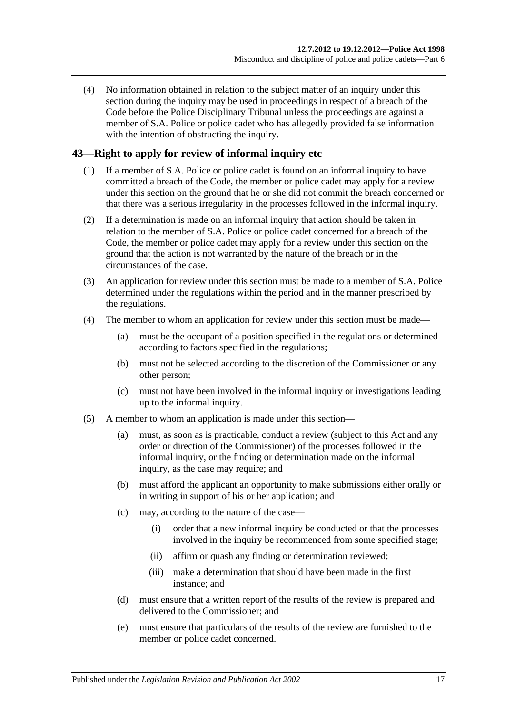(4) No information obtained in relation to the subject matter of an inquiry under this section during the inquiry may be used in proceedings in respect of a breach of the Code before the Police Disciplinary Tribunal unless the proceedings are against a member of S.A. Police or police cadet who has allegedly provided false information with the intention of obstructing the inquiry.

## <span id="page-16-0"></span>**43—Right to apply for review of informal inquiry etc**

- (1) If a member of S.A. Police or police cadet is found on an informal inquiry to have committed a breach of the Code, the member or police cadet may apply for a review under this section on the ground that he or she did not commit the breach concerned or that there was a serious irregularity in the processes followed in the informal inquiry.
- (2) If a determination is made on an informal inquiry that action should be taken in relation to the member of S.A. Police or police cadet concerned for a breach of the Code, the member or police cadet may apply for a review under this section on the ground that the action is not warranted by the nature of the breach or in the circumstances of the case.
- (3) An application for review under this section must be made to a member of S.A. Police determined under the regulations within the period and in the manner prescribed by the regulations.
- (4) The member to whom an application for review under this section must be made—
	- (a) must be the occupant of a position specified in the regulations or determined according to factors specified in the regulations;
	- (b) must not be selected according to the discretion of the Commissioner or any other person;
	- (c) must not have been involved in the informal inquiry or investigations leading up to the informal inquiry.
- (5) A member to whom an application is made under this section—
	- (a) must, as soon as is practicable, conduct a review (subject to this Act and any order or direction of the Commissioner) of the processes followed in the informal inquiry, or the finding or determination made on the informal inquiry, as the case may require; and
	- (b) must afford the applicant an opportunity to make submissions either orally or in writing in support of his or her application; and
	- (c) may, according to the nature of the case—
		- (i) order that a new informal inquiry be conducted or that the processes involved in the inquiry be recommenced from some specified stage;
		- (ii) affirm or quash any finding or determination reviewed;
		- (iii) make a determination that should have been made in the first instance; and
	- (d) must ensure that a written report of the results of the review is prepared and delivered to the Commissioner; and
	- (e) must ensure that particulars of the results of the review are furnished to the member or police cadet concerned.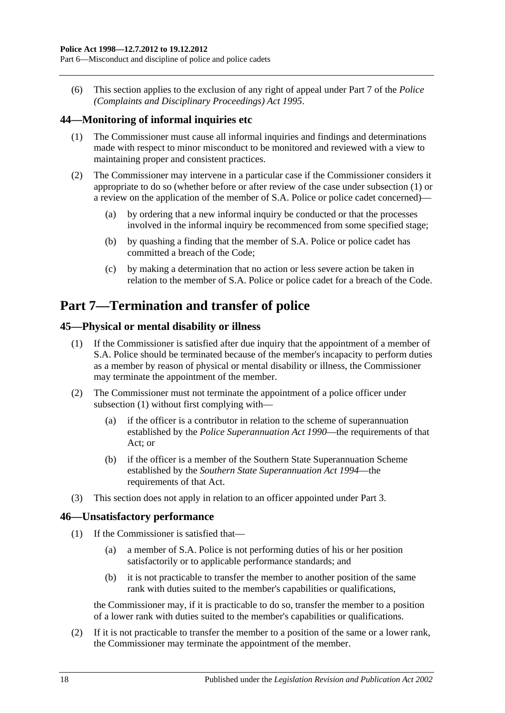(6) This section applies to the exclusion of any right of appeal under Part 7 of the *[Police](http://www.legislation.sa.gov.au/index.aspx?action=legref&type=act&legtitle=Police%20(Complaints%20and%20Disciplinary%20Proceedings)%20Act%201995)  [\(Complaints and Disciplinary Proceedings\) Act](http://www.legislation.sa.gov.au/index.aspx?action=legref&type=act&legtitle=Police%20(Complaints%20and%20Disciplinary%20Proceedings)%20Act%201995) 1995*.

## <span id="page-17-4"></span><span id="page-17-0"></span>**44—Monitoring of informal inquiries etc**

- (1) The Commissioner must cause all informal inquiries and findings and determinations made with respect to minor misconduct to be monitored and reviewed with a view to maintaining proper and consistent practices.
- (2) The Commissioner may intervene in a particular case if the Commissioner considers it appropriate to do so (whether before or after review of the case under [subsection](#page-17-4) (1) or a review on the application of the member of S.A. Police or police cadet concerned)—
	- (a) by ordering that a new informal inquiry be conducted or that the processes involved in the informal inquiry be recommenced from some specified stage;
	- (b) by quashing a finding that the member of S.A. Police or police cadet has committed a breach of the Code;
	- (c) by making a determination that no action or less severe action be taken in relation to the member of S.A. Police or police cadet for a breach of the Code.

## <span id="page-17-1"></span>**Part 7—Termination and transfer of police**

## <span id="page-17-5"></span><span id="page-17-2"></span>**45—Physical or mental disability or illness**

- (1) If the Commissioner is satisfied after due inquiry that the appointment of a member of S.A. Police should be terminated because of the member's incapacity to perform duties as a member by reason of physical or mental disability or illness, the Commissioner may terminate the appointment of the member.
- (2) The Commissioner must not terminate the appointment of a police officer under [subsection](#page-17-5) (1) without first complying with—
	- (a) if the officer is a contributor in relation to the scheme of superannuation established by the *[Police Superannuation Act](http://www.legislation.sa.gov.au/index.aspx?action=legref&type=act&legtitle=Police%20Superannuation%20Act%201990) 1990*—the requirements of that Act; or
	- (b) if the officer is a member of the Southern State Superannuation Scheme established by the *[Southern State Superannuation Act](http://www.legislation.sa.gov.au/index.aspx?action=legref&type=act&legtitle=Southern%20State%20Superannuation%20Act%201994) 1994*—the requirements of that Act.
- (3) This section does not apply in relation to an officer appointed under [Part 3.](#page-5-1)

## <span id="page-17-3"></span>**46—Unsatisfactory performance**

- (1) If the Commissioner is satisfied that—
	- (a) a member of S.A. Police is not performing duties of his or her position satisfactorily or to applicable performance standards; and
	- (b) it is not practicable to transfer the member to another position of the same rank with duties suited to the member's capabilities or qualifications,

the Commissioner may, if it is practicable to do so, transfer the member to a position of a lower rank with duties suited to the member's capabilities or qualifications.

(2) If it is not practicable to transfer the member to a position of the same or a lower rank, the Commissioner may terminate the appointment of the member.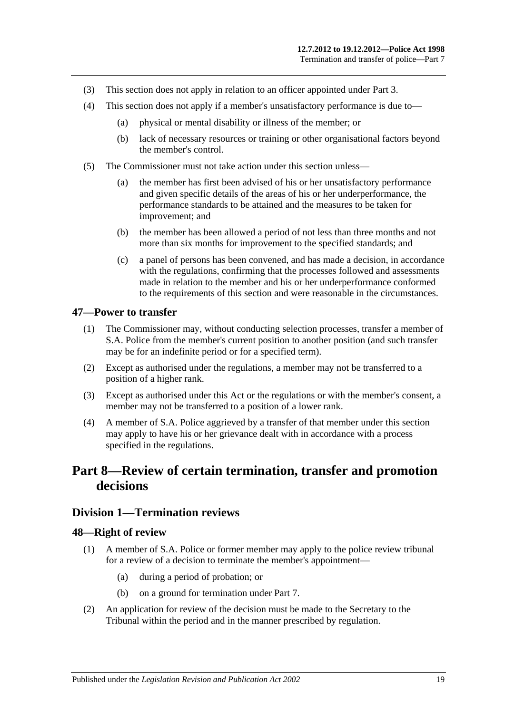- (3) This section does not apply in relation to an officer appointed under [Part 3.](#page-5-1)
- (4) This section does not apply if a member's unsatisfactory performance is due to—
	- (a) physical or mental disability or illness of the member; or
	- (b) lack of necessary resources or training or other organisational factors beyond the member's control.
- (5) The Commissioner must not take action under this section unless—
	- (a) the member has first been advised of his or her unsatisfactory performance and given specific details of the areas of his or her underperformance, the performance standards to be attained and the measures to be taken for improvement; and
	- (b) the member has been allowed a period of not less than three months and not more than six months for improvement to the specified standards; and
	- (c) a panel of persons has been convened, and has made a decision, in accordance with the regulations, confirming that the processes followed and assessments made in relation to the member and his or her underperformance conformed to the requirements of this section and were reasonable in the circumstances.

#### <span id="page-18-0"></span>**47—Power to transfer**

- (1) The Commissioner may, without conducting selection processes, transfer a member of S.A. Police from the member's current position to another position (and such transfer may be for an indefinite period or for a specified term).
- (2) Except as authorised under the regulations, a member may not be transferred to a position of a higher rank.
- (3) Except as authorised under this Act or the regulations or with the member's consent, a member may not be transferred to a position of a lower rank.
- (4) A member of S.A. Police aggrieved by a transfer of that member under this section may apply to have his or her grievance dealt with in accordance with a process specified in the regulations.

## <span id="page-18-1"></span>**Part 8—Review of certain termination, transfer and promotion decisions**

#### <span id="page-18-2"></span>**Division 1—Termination reviews**

#### <span id="page-18-3"></span>**48—Right of review**

- (1) A member of S.A. Police or former member may apply to the police review tribunal for a review of a decision to terminate the member's appointment—
	- (a) during a period of probation; or
	- (b) on a ground for termination under [Part 7.](#page-17-1)
- (2) An application for review of the decision must be made to the Secretary to the Tribunal within the period and in the manner prescribed by regulation.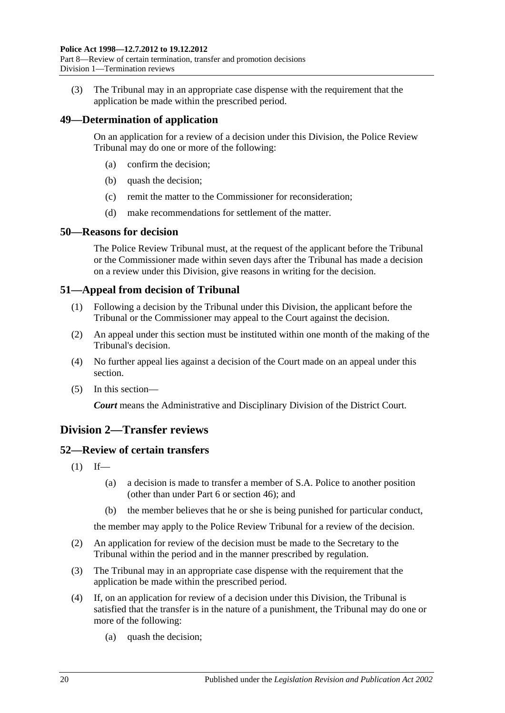(3) The Tribunal may in an appropriate case dispense with the requirement that the application be made within the prescribed period.

## <span id="page-19-0"></span>**49—Determination of application**

On an application for a review of a decision under this Division, the Police Review Tribunal may do one or more of the following:

- (a) confirm the decision;
- (b) quash the decision;
- (c) remit the matter to the Commissioner for reconsideration;
- (d) make recommendations for settlement of the matter.

#### <span id="page-19-1"></span>**50—Reasons for decision**

The Police Review Tribunal must, at the request of the applicant before the Tribunal or the Commissioner made within seven days after the Tribunal has made a decision on a review under this Division, give reasons in writing for the decision.

## <span id="page-19-2"></span>**51—Appeal from decision of Tribunal**

- (1) Following a decision by the Tribunal under this Division, the applicant before the Tribunal or the Commissioner may appeal to the Court against the decision.
- (2) An appeal under this section must be instituted within one month of the making of the Tribunal's decision.
- (4) No further appeal lies against a decision of the Court made on an appeal under this section.
- (5) In this section—

*Court* means the Administrative and Disciplinary Division of the District Court.

## <span id="page-19-3"></span>**Division 2—Transfer reviews**

## <span id="page-19-4"></span>**52—Review of certain transfers**

- $(1)$  If—
	- (a) a decision is made to transfer a member of S.A. Police to another position (other than under [Part 6](#page-12-6) or [section](#page-17-3) 46); and
	- (b) the member believes that he or she is being punished for particular conduct,

the member may apply to the Police Review Tribunal for a review of the decision.

- (2) An application for review of the decision must be made to the Secretary to the Tribunal within the period and in the manner prescribed by regulation.
- (3) The Tribunal may in an appropriate case dispense with the requirement that the application be made within the prescribed period.
- (4) If, on an application for review of a decision under this Division, the Tribunal is satisfied that the transfer is in the nature of a punishment, the Tribunal may do one or more of the following:
	- (a) quash the decision;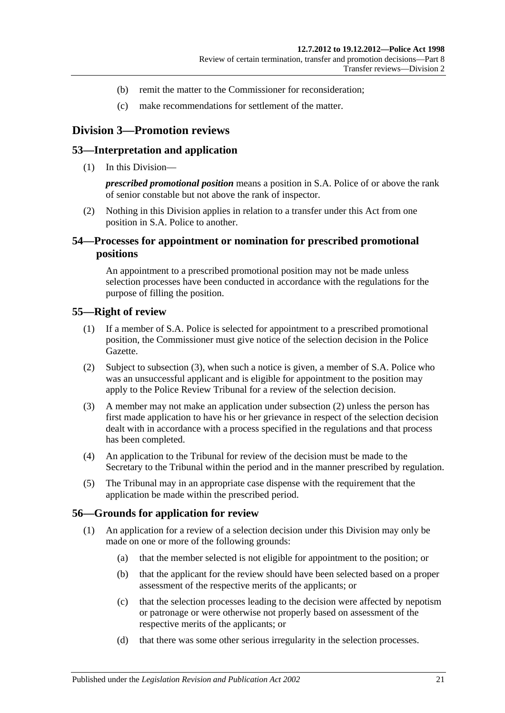- (b) remit the matter to the Commissioner for reconsideration;
- (c) make recommendations for settlement of the matter.

## <span id="page-20-0"></span>**Division 3—Promotion reviews**

#### <span id="page-20-1"></span>**53—Interpretation and application**

(1) In this Division—

*prescribed promotional position* means a position in S.A. Police of or above the rank of senior constable but not above the rank of inspector.

(2) Nothing in this Division applies in relation to a transfer under this Act from one position in S.A. Police to another.

## <span id="page-20-2"></span>**54—Processes for appointment or nomination for prescribed promotional positions**

An appointment to a prescribed promotional position may not be made unless selection processes have been conducted in accordance with the regulations for the purpose of filling the position.

#### <span id="page-20-3"></span>**55—Right of review**

- (1) If a member of S.A. Police is selected for appointment to a prescribed promotional position, the Commissioner must give notice of the selection decision in the Police Gazette.
- <span id="page-20-6"></span>(2) Subject to [subsection](#page-20-5) (3), when such a notice is given, a member of S.A. Police who was an unsuccessful applicant and is eligible for appointment to the position may apply to the Police Review Tribunal for a review of the selection decision.
- <span id="page-20-5"></span>(3) A member may not make an application under [subsection](#page-20-6) (2) unless the person has first made application to have his or her grievance in respect of the selection decision dealt with in accordance with a process specified in the regulations and that process has been completed.
- (4) An application to the Tribunal for review of the decision must be made to the Secretary to the Tribunal within the period and in the manner prescribed by regulation.
- (5) The Tribunal may in an appropriate case dispense with the requirement that the application be made within the prescribed period.

#### <span id="page-20-4"></span>**56—Grounds for application for review**

- (1) An application for a review of a selection decision under this Division may only be made on one or more of the following grounds:
	- (a) that the member selected is not eligible for appointment to the position; or
	- (b) that the applicant for the review should have been selected based on a proper assessment of the respective merits of the applicants; or
	- (c) that the selection processes leading to the decision were affected by nepotism or patronage or were otherwise not properly based on assessment of the respective merits of the applicants; or
	- (d) that there was some other serious irregularity in the selection processes.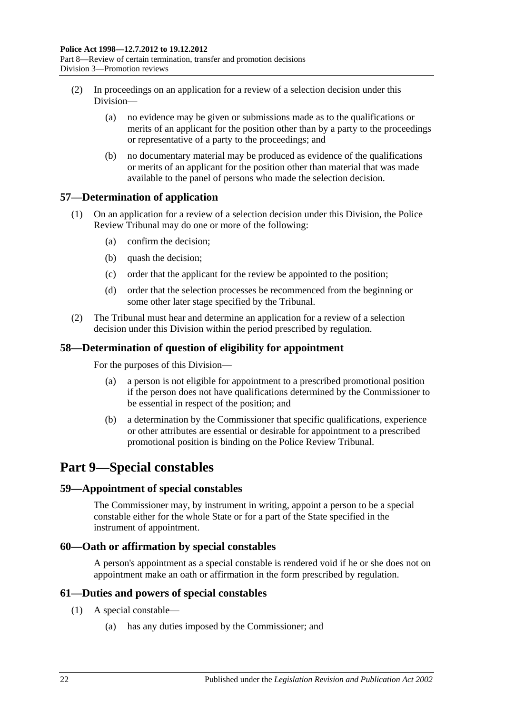- (2) In proceedings on an application for a review of a selection decision under this Division—
	- (a) no evidence may be given or submissions made as to the qualifications or merits of an applicant for the position other than by a party to the proceedings or representative of a party to the proceedings; and
	- (b) no documentary material may be produced as evidence of the qualifications or merits of an applicant for the position other than material that was made available to the panel of persons who made the selection decision.

## <span id="page-21-0"></span>**57—Determination of application**

- (1) On an application for a review of a selection decision under this Division, the Police Review Tribunal may do one or more of the following:
	- (a) confirm the decision;
	- (b) quash the decision;
	- (c) order that the applicant for the review be appointed to the position;
	- (d) order that the selection processes be recommenced from the beginning or some other later stage specified by the Tribunal.
- (2) The Tribunal must hear and determine an application for a review of a selection decision under this Division within the period prescribed by regulation.

## <span id="page-21-1"></span>**58—Determination of question of eligibility for appointment**

For the purposes of this Division—

- (a) a person is not eligible for appointment to a prescribed promotional position if the person does not have qualifications determined by the Commissioner to be essential in respect of the position; and
- (b) a determination by the Commissioner that specific qualifications, experience or other attributes are essential or desirable for appointment to a prescribed promotional position is binding on the Police Review Tribunal.

## <span id="page-21-2"></span>**Part 9—Special constables**

## <span id="page-21-3"></span>**59—Appointment of special constables**

The Commissioner may, by instrument in writing, appoint a person to be a special constable either for the whole State or for a part of the State specified in the instrument of appointment.

## <span id="page-21-4"></span>**60—Oath or affirmation by special constables**

A person's appointment as a special constable is rendered void if he or she does not on appointment make an oath or affirmation in the form prescribed by regulation.

## <span id="page-21-5"></span>**61—Duties and powers of special constables**

- (1) A special constable—
	- (a) has any duties imposed by the Commissioner; and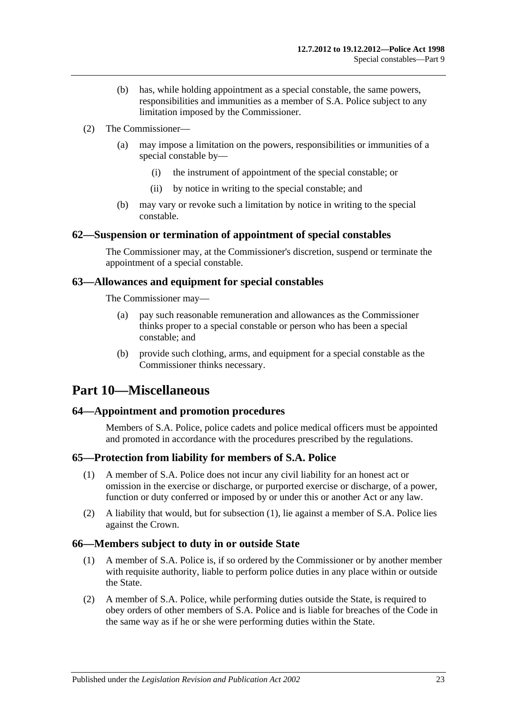- (b) has, while holding appointment as a special constable, the same powers, responsibilities and immunities as a member of S.A. Police subject to any limitation imposed by the Commissioner.
- (2) The Commissioner—
	- (a) may impose a limitation on the powers, responsibilities or immunities of a special constable by—
		- (i) the instrument of appointment of the special constable; or
		- (ii) by notice in writing to the special constable; and
	- (b) may vary or revoke such a limitation by notice in writing to the special constable.

## <span id="page-22-0"></span>**62—Suspension or termination of appointment of special constables**

The Commissioner may, at the Commissioner's discretion, suspend or terminate the appointment of a special constable.

#### <span id="page-22-1"></span>**63—Allowances and equipment for special constables**

The Commissioner may—

- (a) pay such reasonable remuneration and allowances as the Commissioner thinks proper to a special constable or person who has been a special constable; and
- (b) provide such clothing, arms, and equipment for a special constable as the Commissioner thinks necessary.

## <span id="page-22-2"></span>**Part 10—Miscellaneous**

## <span id="page-22-3"></span>**64—Appointment and promotion procedures**

Members of S.A. Police, police cadets and police medical officers must be appointed and promoted in accordance with the procedures prescribed by the regulations.

## <span id="page-22-6"></span><span id="page-22-4"></span>**65—Protection from liability for members of S.A. Police**

- (1) A member of S.A. Police does not incur any civil liability for an honest act or omission in the exercise or discharge, or purported exercise or discharge, of a power, function or duty conferred or imposed by or under this or another Act or any law.
- (2) A liability that would, but for [subsection](#page-22-6) (1), lie against a member of S.A. Police lies against the Crown.

## <span id="page-22-5"></span>**66—Members subject to duty in or outside State**

- (1) A member of S.A. Police is, if so ordered by the Commissioner or by another member with requisite authority, liable to perform police duties in any place within or outside the State.
- (2) A member of S.A. Police, while performing duties outside the State, is required to obey orders of other members of S.A. Police and is liable for breaches of the Code in the same way as if he or she were performing duties within the State.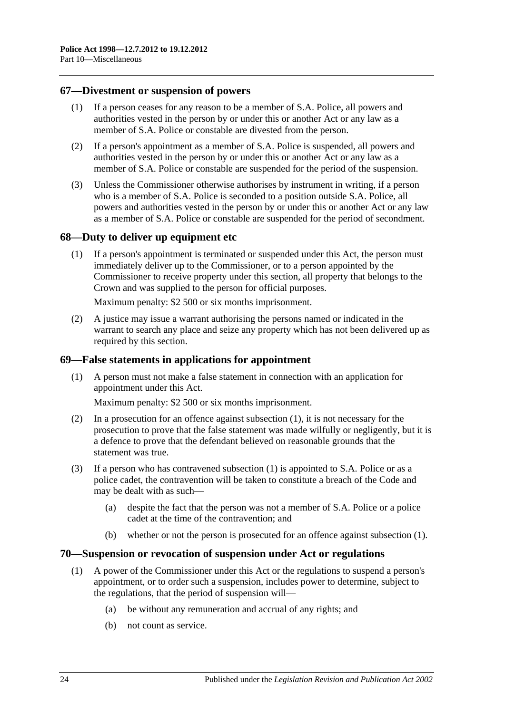#### <span id="page-23-0"></span>**67—Divestment or suspension of powers**

- (1) If a person ceases for any reason to be a member of S.A. Police, all powers and authorities vested in the person by or under this or another Act or any law as a member of S.A. Police or constable are divested from the person.
- (2) If a person's appointment as a member of S.A. Police is suspended, all powers and authorities vested in the person by or under this or another Act or any law as a member of S.A. Police or constable are suspended for the period of the suspension.
- (3) Unless the Commissioner otherwise authorises by instrument in writing, if a person who is a member of S.A. Police is seconded to a position outside S.A. Police, all powers and authorities vested in the person by or under this or another Act or any law as a member of S.A. Police or constable are suspended for the period of secondment.

#### <span id="page-23-1"></span>**68—Duty to deliver up equipment etc**

(1) If a person's appointment is terminated or suspended under this Act, the person must immediately deliver up to the Commissioner, or to a person appointed by the Commissioner to receive property under this section, all property that belongs to the Crown and was supplied to the person for official purposes.

Maximum penalty: \$2 500 or six months imprisonment.

(2) A justice may issue a warrant authorising the persons named or indicated in the warrant to search any place and seize any property which has not been delivered up as required by this section.

#### <span id="page-23-4"></span><span id="page-23-2"></span>**69—False statements in applications for appointment**

(1) A person must not make a false statement in connection with an application for appointment under this Act.

Maximum penalty: \$2 500 or six months imprisonment.

- (2) In a prosecution for an offence against [subsection](#page-23-4) (1), it is not necessary for the prosecution to prove that the false statement was made wilfully or negligently, but it is a defence to prove that the defendant believed on reasonable grounds that the statement was true.
- (3) If a person who has contravened [subsection](#page-23-4) (1) is appointed to S.A. Police or as a police cadet, the contravention will be taken to constitute a breach of the Code and may be dealt with as such—
	- (a) despite the fact that the person was not a member of S.A. Police or a police cadet at the time of the contravention; and
	- (b) whether or not the person is prosecuted for an offence against [subsection](#page-23-4) (1).

#### <span id="page-23-5"></span><span id="page-23-3"></span>**70—Suspension or revocation of suspension under Act or regulations**

- (1) A power of the Commissioner under this Act or the regulations to suspend a person's appointment, or to order such a suspension, includes power to determine, subject to the regulations, that the period of suspension will—
	- (a) be without any remuneration and accrual of any rights; and
	- (b) not count as service.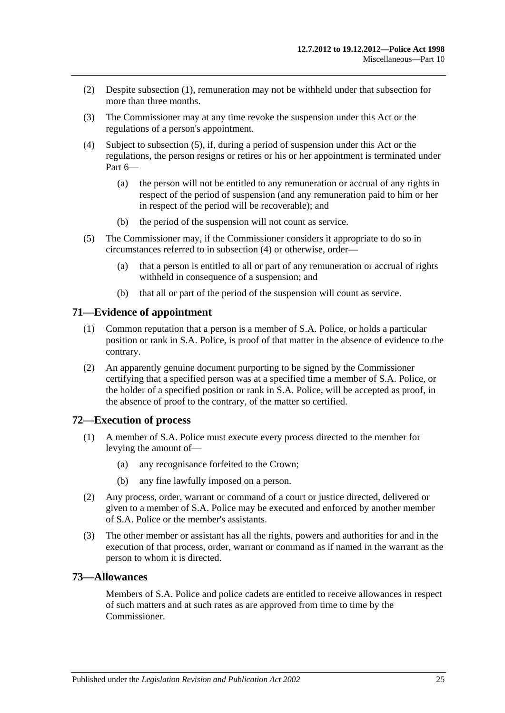- (2) Despite [subsection](#page-23-5) (1), remuneration may not be withheld under that subsection for more than three months.
- (3) The Commissioner may at any time revoke the suspension under this Act or the regulations of a person's appointment.
- <span id="page-24-4"></span>(4) Subject to [subsection](#page-24-3) (5), if, during a period of suspension under this Act or the regulations, the person resigns or retires or his or her appointment is terminated under [Part 6—](#page-12-6)
	- (a) the person will not be entitled to any remuneration or accrual of any rights in respect of the period of suspension (and any remuneration paid to him or her in respect of the period will be recoverable); and
	- (b) the period of the suspension will not count as service.
- <span id="page-24-3"></span>(5) The Commissioner may, if the Commissioner considers it appropriate to do so in circumstances referred to in [subsection](#page-24-4) (4) or otherwise, order—
	- (a) that a person is entitled to all or part of any remuneration or accrual of rights withheld in consequence of a suspension; and
	- (b) that all or part of the period of the suspension will count as service.

#### <span id="page-24-0"></span>**71—Evidence of appointment**

- (1) Common reputation that a person is a member of S.A. Police, or holds a particular position or rank in S.A. Police, is proof of that matter in the absence of evidence to the contrary.
- (2) An apparently genuine document purporting to be signed by the Commissioner certifying that a specified person was at a specified time a member of S.A. Police, or the holder of a specified position or rank in S.A. Police, will be accepted as proof, in the absence of proof to the contrary, of the matter so certified.

#### <span id="page-24-1"></span>**72—Execution of process**

- (1) A member of S.A. Police must execute every process directed to the member for levying the amount of—
	- (a) any recognisance forfeited to the Crown;
	- (b) any fine lawfully imposed on a person.
- (2) Any process, order, warrant or command of a court or justice directed, delivered or given to a member of S.A. Police may be executed and enforced by another member of S.A. Police or the member's assistants.
- (3) The other member or assistant has all the rights, powers and authorities for and in the execution of that process, order, warrant or command as if named in the warrant as the person to whom it is directed.

#### <span id="page-24-2"></span>**73—Allowances**

Members of S.A. Police and police cadets are entitled to receive allowances in respect of such matters and at such rates as are approved from time to time by the Commissioner.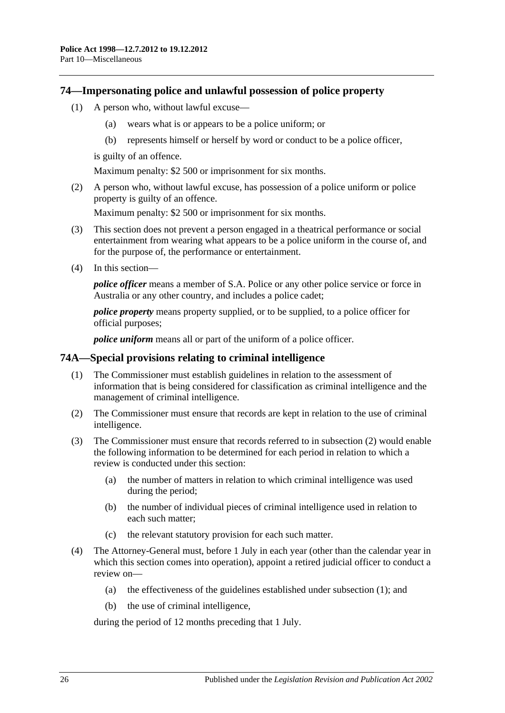#### <span id="page-25-0"></span>**74—Impersonating police and unlawful possession of police property**

- (1) A person who, without lawful excuse—
	- (a) wears what is or appears to be a police uniform; or
	- (b) represents himself or herself by word or conduct to be a police officer,

is guilty of an offence.

Maximum penalty: \$2 500 or imprisonment for six months.

(2) A person who, without lawful excuse, has possession of a police uniform or police property is guilty of an offence.

Maximum penalty: \$2 500 or imprisonment for six months.

- (3) This section does not prevent a person engaged in a theatrical performance or social entertainment from wearing what appears to be a police uniform in the course of, and for the purpose of, the performance or entertainment.
- (4) In this section—

*police officer* means a member of S.A. Police or any other police service or force in Australia or any other country, and includes a police cadet;

*police property* means property supplied, or to be supplied, to a police officer for official purposes;

*police uniform* means all or part of the uniform of a police officer.

#### <span id="page-25-3"></span><span id="page-25-1"></span>**74A—Special provisions relating to criminal intelligence**

- (1) The Commissioner must establish guidelines in relation to the assessment of information that is being considered for classification as criminal intelligence and the management of criminal intelligence.
- <span id="page-25-2"></span>(2) The Commissioner must ensure that records are kept in relation to the use of criminal intelligence.
- (3) The Commissioner must ensure that records referred to in [subsection](#page-25-2) (2) would enable the following information to be determined for each period in relation to which a review is conducted under this section:
	- (a) the number of matters in relation to which criminal intelligence was used during the period;
	- (b) the number of individual pieces of criminal intelligence used in relation to each such matter;
	- (c) the relevant statutory provision for each such matter.
- (4) The Attorney-General must, before 1 July in each year (other than the calendar year in which this section comes into operation), appoint a retired judicial officer to conduct a review on—
	- (a) the effectiveness of the guidelines established under [subsection](#page-25-3) (1); and
	- (b) the use of criminal intelligence,

during the period of 12 months preceding that 1 July.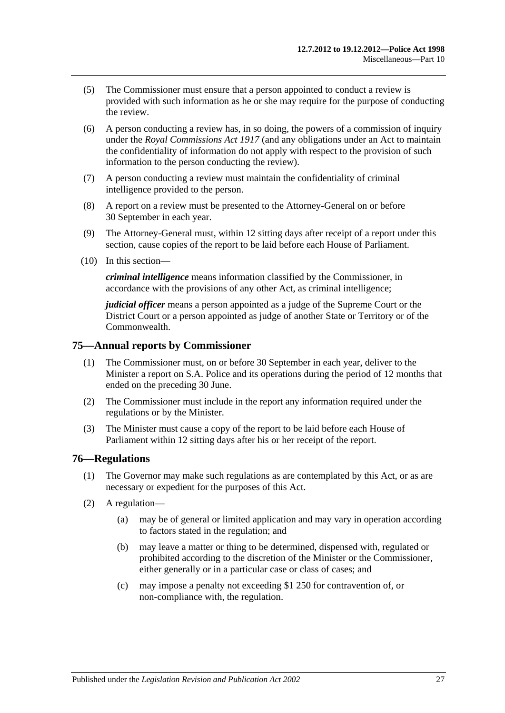- (5) The Commissioner must ensure that a person appointed to conduct a review is provided with such information as he or she may require for the purpose of conducting the review.
- (6) A person conducting a review has, in so doing, the powers of a commission of inquiry under the *[Royal Commissions Act](http://www.legislation.sa.gov.au/index.aspx?action=legref&type=act&legtitle=Royal%20Commissions%20Act%201917) 1917* (and any obligations under an Act to maintain the confidentiality of information do not apply with respect to the provision of such information to the person conducting the review).
- (7) A person conducting a review must maintain the confidentiality of criminal intelligence provided to the person.
- (8) A report on a review must be presented to the Attorney-General on or before 30 September in each year.
- (9) The Attorney-General must, within 12 sitting days after receipt of a report under this section, cause copies of the report to be laid before each House of Parliament.
- (10) In this section—

*criminal intelligence* means information classified by the Commissioner, in accordance with the provisions of any other Act, as criminal intelligence;

*judicial officer* means a person appointed as a judge of the Supreme Court or the District Court or a person appointed as judge of another State or Territory or of the Commonwealth.

#### <span id="page-26-0"></span>**75—Annual reports by Commissioner**

- (1) The Commissioner must, on or before 30 September in each year, deliver to the Minister a report on S.A. Police and its operations during the period of 12 months that ended on the preceding 30 June.
- (2) The Commissioner must include in the report any information required under the regulations or by the Minister.
- (3) The Minister must cause a copy of the report to be laid before each House of Parliament within 12 sitting days after his or her receipt of the report.

#### <span id="page-26-1"></span>**76—Regulations**

- (1) The Governor may make such regulations as are contemplated by this Act, or as are necessary or expedient for the purposes of this Act.
- (2) A regulation—
	- (a) may be of general or limited application and may vary in operation according to factors stated in the regulation; and
	- (b) may leave a matter or thing to be determined, dispensed with, regulated or prohibited according to the discretion of the Minister or the Commissioner, either generally or in a particular case or class of cases; and
	- (c) may impose a penalty not exceeding \$1 250 for contravention of, or non-compliance with, the regulation.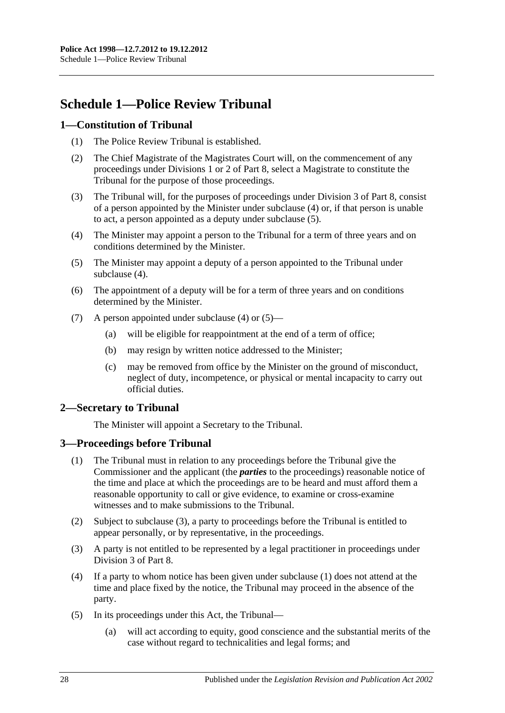## <span id="page-27-0"></span>**Schedule 1—Police Review Tribunal**

## <span id="page-27-1"></span>**1—Constitution of Tribunal**

- (1) The Police Review Tribunal is established.
- (2) The Chief Magistrate of the Magistrates Court will, on the commencement of any proceedings under [Divisions 1](#page-18-2) or [2](#page-19-3) of [Part 8,](#page-18-1) select a Magistrate to constitute the Tribunal for the purpose of those proceedings.
- (3) The Tribunal will, for the purposes of proceedings under [Division 3](#page-20-0) of [Part 8,](#page-18-1) consist of a person appointed by the Minister under [subclause](#page-27-4) (4) or, if that person is unable to act, a person appointed as a deputy under [subclause](#page-27-5) (5).
- <span id="page-27-4"></span>(4) The Minister may appoint a person to the Tribunal for a term of three years and on conditions determined by the Minister.
- <span id="page-27-5"></span>(5) The Minister may appoint a deputy of a person appointed to the Tribunal under [subclause](#page-27-4) (4).
- (6) The appointment of a deputy will be for a term of three years and on conditions determined by the Minister.
- (7) A person appointed under [subclause](#page-27-4) (4) or [\(5\)—](#page-27-5)
	- (a) will be eligible for reappointment at the end of a term of office;
	- (b) may resign by written notice addressed to the Minister;
	- (c) may be removed from office by the Minister on the ground of misconduct, neglect of duty, incompetence, or physical or mental incapacity to carry out official duties.

## <span id="page-27-2"></span>**2—Secretary to Tribunal**

The Minister will appoint a Secretary to the Tribunal.

## <span id="page-27-7"></span><span id="page-27-3"></span>**3—Proceedings before Tribunal**

- (1) The Tribunal must in relation to any proceedings before the Tribunal give the Commissioner and the applicant (the *parties* to the proceedings) reasonable notice of the time and place at which the proceedings are to be heard and must afford them a reasonable opportunity to call or give evidence, to examine or cross-examine witnesses and to make submissions to the Tribunal.
- (2) Subject to [subclause](#page-27-6) (3), a party to proceedings before the Tribunal is entitled to appear personally, or by representative, in the proceedings.
- <span id="page-27-6"></span>(3) A party is not entitled to be represented by a legal practitioner in proceedings under [Division 3](#page-20-0) of [Part 8.](#page-18-1)
- (4) If a party to whom notice has been given under [subclause](#page-27-7) (1) does not attend at the time and place fixed by the notice, the Tribunal may proceed in the absence of the party.
- (5) In its proceedings under this Act, the Tribunal—
	- (a) will act according to equity, good conscience and the substantial merits of the case without regard to technicalities and legal forms; and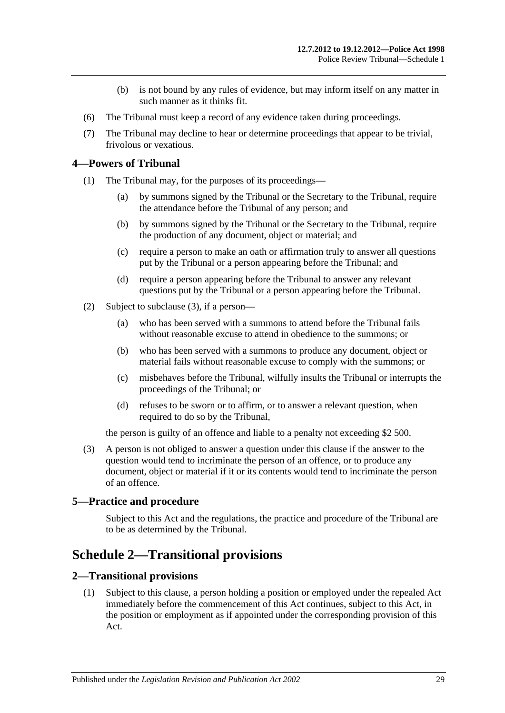- (b) is not bound by any rules of evidence, but may inform itself on any matter in such manner as it thinks fit.
- (6) The Tribunal must keep a record of any evidence taken during proceedings.
- (7) The Tribunal may decline to hear or determine proceedings that appear to be trivial, frivolous or vexatious.

#### <span id="page-28-0"></span>**4—Powers of Tribunal**

- (1) The Tribunal may, for the purposes of its proceedings—
	- (a) by summons signed by the Tribunal or the Secretary to the Tribunal, require the attendance before the Tribunal of any person; and
	- (b) by summons signed by the Tribunal or the Secretary to the Tribunal, require the production of any document, object or material; and
	- (c) require a person to make an oath or affirmation truly to answer all questions put by the Tribunal or a person appearing before the Tribunal; and
	- (d) require a person appearing before the Tribunal to answer any relevant questions put by the Tribunal or a person appearing before the Tribunal.
- (2) Subject to [subclause](#page-28-4) (3), if a person—
	- (a) who has been served with a summons to attend before the Tribunal fails without reasonable excuse to attend in obedience to the summons; or
	- (b) who has been served with a summons to produce any document, object or material fails without reasonable excuse to comply with the summons; or
	- (c) misbehaves before the Tribunal, wilfully insults the Tribunal or interrupts the proceedings of the Tribunal; or
	- (d) refuses to be sworn or to affirm, or to answer a relevant question, when required to do so by the Tribunal,

the person is guilty of an offence and liable to a penalty not exceeding \$2 500.

<span id="page-28-4"></span>(3) A person is not obliged to answer a question under this clause if the answer to the question would tend to incriminate the person of an offence, or to produce any document, object or material if it or its contents would tend to incriminate the person of an offence.

## <span id="page-28-1"></span>**5—Practice and procedure**

Subject to this Act and the regulations, the practice and procedure of the Tribunal are to be as determined by the Tribunal.

## <span id="page-28-2"></span>**Schedule 2—Transitional provisions**

#### <span id="page-28-5"></span><span id="page-28-3"></span>**2—Transitional provisions**

(1) Subject to this clause, a person holding a position or employed under the repealed Act immediately before the commencement of this Act continues, subject to this Act, in the position or employment as if appointed under the corresponding provision of this Act.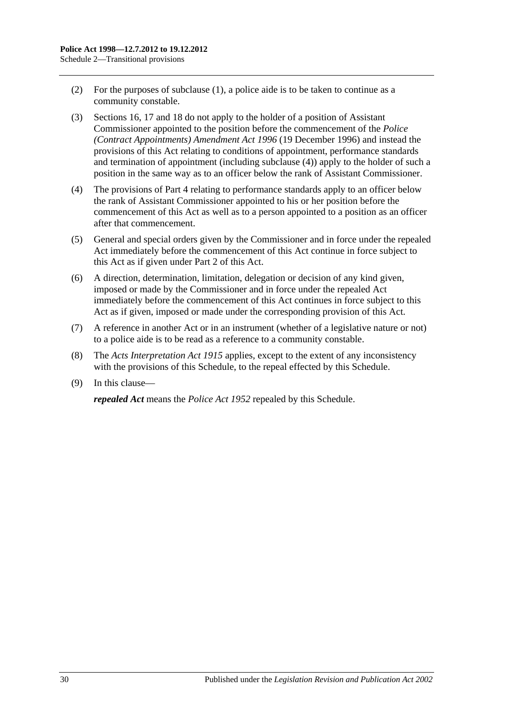- (2) For the purposes of [subclause](#page-28-5) (1), a police aide is to be taken to continue as a community constable.
- (3) [Sections](#page-7-0) 16, [17](#page-7-1) and [18](#page-8-0) do not apply to the holder of a position of Assistant Commissioner appointed to the position before the commencement of the *[Police](http://www.legislation.sa.gov.au/index.aspx?action=legref&type=act&legtitle=Police%20(Contract%20Appointments)%20Amendment%20Act%201996)  [\(Contract Appointments\) Amendment Act](http://www.legislation.sa.gov.au/index.aspx?action=legref&type=act&legtitle=Police%20(Contract%20Appointments)%20Amendment%20Act%201996) 1996* (19 December 1996) and instead the provisions of this Act relating to conditions of appointment, performance standards and termination of appointment (including [subclause](#page-29-0) (4)) apply to the holder of such a position in the same way as to an officer below the rank of Assistant Commissioner.
- <span id="page-29-0"></span>(4) The provisions of [Part 4](#page-9-0) relating to performance standards apply to an officer below the rank of Assistant Commissioner appointed to his or her position before the commencement of this Act as well as to a person appointed to a position as an officer after that commencement.
- (5) General and special orders given by the Commissioner and in force under the repealed Act immediately before the commencement of this Act continue in force subject to this Act as if given under [Part 2](#page-3-0) of this Act.
- (6) A direction, determination, limitation, delegation or decision of any kind given, imposed or made by the Commissioner and in force under the repealed Act immediately before the commencement of this Act continues in force subject to this Act as if given, imposed or made under the corresponding provision of this Act.
- (7) A reference in another Act or in an instrument (whether of a legislative nature or not) to a police aide is to be read as a reference to a community constable.
- (8) The *[Acts Interpretation Act](http://www.legislation.sa.gov.au/index.aspx?action=legref&type=act&legtitle=Acts%20Interpretation%20Act%201915) 1915* applies, except to the extent of any inconsistency with the provisions of this Schedule, to the repeal effected by this Schedule.
- (9) In this clause—

*repealed Act* means the *[Police Act](http://www.legislation.sa.gov.au/index.aspx?action=legref&type=act&legtitle=Police%20Act%201952) 1952* repealed by this Schedule.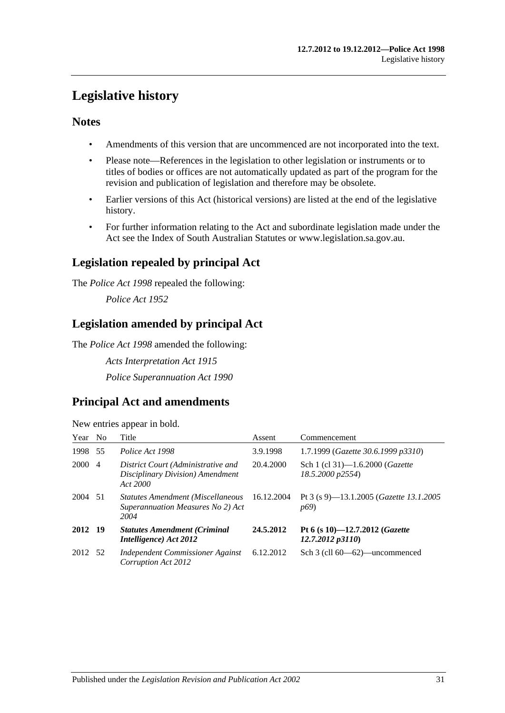## <span id="page-30-0"></span>**Legislative history**

## **Notes**

- Amendments of this version that are uncommenced are not incorporated into the text.
- Please note—References in the legislation to other legislation or instruments or to titles of bodies or offices are not automatically updated as part of the program for the revision and publication of legislation and therefore may be obsolete.
- Earlier versions of this Act (historical versions) are listed at the end of the legislative history.
- For further information relating to the Act and subordinate legislation made under the Act see the Index of South Australian Statutes or www.legislation.sa.gov.au.

## **Legislation repealed by principal Act**

The *Police Act 1998* repealed the following:

*Police Act 1952*

## **Legislation amended by principal Act**

The *Police Act 1998* amended the following:

*Acts Interpretation Act 1915 Police Superannuation Act 1990*

## **Principal Act and amendments**

New entries appear in bold.

| Year No |                | Title                                                                                 | Assent     | Commencement                                                              |
|---------|----------------|---------------------------------------------------------------------------------------|------------|---------------------------------------------------------------------------|
| 1998    | 55             | Police Act 1998                                                                       | 3.9.1998   | 1.7.1999 (Gazette 30.6.1999 p3310)                                        |
| 2000    | $\overline{4}$ | District Court (Administrative and<br>Disciplinary Division) Amendment<br>Act 2000    | 20.4.2000  | Sch 1 (cl 31)-1.6.2000 ( <i>Gazette</i><br>18.5.2000 p2554)               |
| 2004 51 |                | <b>Statutes Amendment (Miscellaneous</b><br>Superannuation Measures No 2) Act<br>2004 | 16.12.2004 | Pt 3 (s 9)—13.1.2005 ( <i>Gazette 13.1.2005</i><br><i>p</i> <sub>69</sub> |
| 2012 19 |                | <b>Statutes Amendment (Criminal</b><br>Intelligence) Act 2012                         | 24.5.2012  | Pt 6 (s 10)-12.7.2012 ( <i>Gazette</i><br>12.7.2012p3110                  |
| 2012 52 |                | Independent Commissioner Against<br>Corruption Act 2012                               | 6.12.2012  | Sch 3 (cll 60—62)—uncommenced                                             |